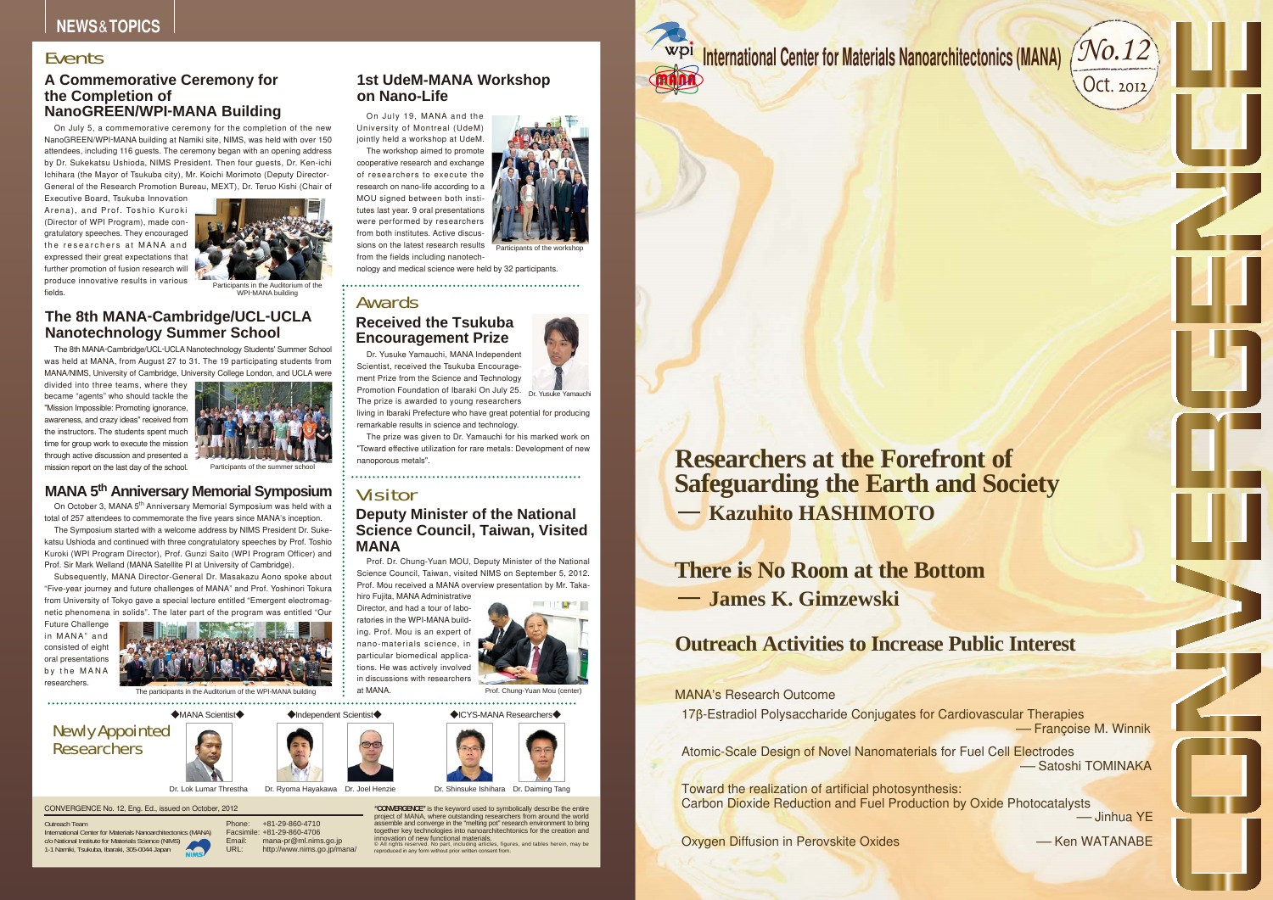On October 3, MANA 5<sup>th</sup> Anniversary Memorial Symposium was held with a total of 257 attendees to commemorate the five years since MANA's inception.

## Newly Appointed **Researchers**

Dr. Ryoma Hayakawa Dr. Joel Henzie

## **MANA 5th Anniversary Memorial Symposium**

The Symposium started with a welcome address by NIMS President Dr. Sukekatsu Ushioda and continued with three congratulatory speeches by Prof. Toshio Kuroki (WPI Program Director), Prof. Gunzi Saito (WPI Program Officer) and Prof. Sir Mark Welland (MANA Satellite PI at University of Cambridge).

divided into three teams, where they became "agents" who should tackle the "Mission Impossible: Promoting ignorance, awareness, and crazy ideas" received from the instructors. The students spent much time for group work to execute the mission through active discussion and presented a mission report on the last day of the school. Participants of the s



Subsequently, MANA Director-General Dr. Masakazu Aono spoke about "Five-year journey and future challenges of MANA" and Prof. Yoshinori Tokura from University of Tokyo gave a special lecture entitled "Emergent electromagnetic phenomena in solids". The later part of the program was entitled "Our

> 17β-Estradiol Polysaccharide Conjugates for Cardiovascular Therapies -Françoise M. Winnik

> Atomic-Scale Design of Novel Nanomaterials for Fuel Cell Electrodes -Satoshi TOMINAKA

Future Challenge in MANA" and consisted of eight oral presentations by the MANA researchers.



The participants in the Auditorium of the WPI-MANA building

# CONVERGENCE**NEWS TOPICS** & **Deputy Minister of the National Science Council, Taiwan, Visited MANA** Prof. Dr. Chung-Yuan MOU, Deputy Minister of the National Science Council, Taiwan, visited NIMS on September 5, 2012. Prof. Mou received a MANA overview presentation by Mr. Taka- hiro Fujita, MANA Administrative Director, and had a tour of labo- ratories in the WPI-MANA build- ing. Prof. Mou is an expert of nano-materials science, in particular biomedical applica- tions. He was actively involved in discussions with researchers at MANA. CONVERGENCE No. 12, Eng. Ed., issued on October, 2012 Outreach Team International Center for Materials Nanoarchitectonics (MANA) c/o National Institute for Materials Science (NIMS) 1-1 Namiki, Tsukuba, Ibaraki, 305-0044 Japan Phone: Facsimile: Email: URL: +81-29-860-4710 +81-29-860-4706 mana-pr@ml.nims.go.jp http://www.nims.go.jp/mana/ **"CONVERGENCE"** is the keyword used to symbolically describe the entire project of MANA, where outstanding researchers from around the world assemble and converge in the "melting pot" research environment to bring together key technologies into nanoarchitechtonics for the creation and innovation of new functional materials. © All rights reserved. No part, including articles, figures, and tables herein, may be reproduced in any form without prior written consent from. **Received the Tsukuba Encouragement Prize** Dr. Yusuke Yamauchi Dr. Yusuke Yamauchi, MANA Independent Scientist, received the Tsukuba Encourage- ment Prize from the Science and Technology Promotion Foundation of Ibaraki On July 25. The prize is awarded to young researchers living in Ibaraki Prefecture who have great potential for producing remarkable results in science and technology. The prize was given to Dr. Yamauchi for his marked work on "Toward effective utilization for rare metals: Development of new nanoporous metals". Dr. Lok Lumar Threstha Dr. Shinsuke Ishihara Dr. Daiming Tang **Researchers at the Forefront of Safeguarding the Earth and Society - Kazuhito HASHIMOTO**

## **1st UdeM-MANA Workshop on Nano-Life**

On July 19, MANA and the University of Montreal (UdeM) jointly held a workshop at UdeM. The workshop aimed to promote

cooperative research and exchange of researchers to execute the research on nano-life according to a MOU signed between both institutes last year. 9 oral presentations were performed by researchers from both institutes. Active discussions on the latest research results from the fields including nanotech-

nology and medical science were held by 32 participants.



Participants of the workshop



#### ◆ICYS-MANA Researchers◆



# Awards

## Visitor

## **A Commemorative Ceremony for the Completion of NanoGREEN/WPI-MANA Building**

On July 5, a commemorative ceremony for the completion of the new NanoGREEN/WPI-MANA building at Namiki site, NIMS, was held with over 150 attendees, including 116 guests. The ceremony began with an opening address by Dr. Sukekatsu Ushioda, NIMS President. Then four guests, Dr. Ken-ichi Ichihara (the Mayor of Tsukuba city), Mr. Koichi Morimoto (Deputy Director-General of the Research Promotion Bureau, MEXT), Dr. Teruo Kishi (Chair of

Executive Board, Tsukuba Innovation Arena), and Prof. Toshio Kuroki (Director of WPI Program), made congratulatory speeches. They encouraged the researchers at MANA and expressed their great expectations that further promotion of fusion research will produce innovative results in various fields.



Participants in the Auditorium of the WPI-MANA building



## **The 8th MANA-Cambridge/UCL-UCLA Nanotechnology Summer School**

The 8th MANA-Cambridge/UCL-UCLA Nanotechnology Students' Summer School was held at MANA, from August 27 to 31. The 19 participating students from MANA/NIMS, University of Cambridge, University College London, and UCLA were



-Ken WATANABE -Jinhua YE



MANA's Research Outcome

Oxygen Diffusion in Perovskite Oxides



Toward the realization of artificial photosynthesis: Carbon Dioxide Reduction and Fuel Production by Oxide Photocatalysts

**- James K. Gimzewski There is No Room at the Bottom**

## **Outreach Activities to Increase Public Interest**

### Events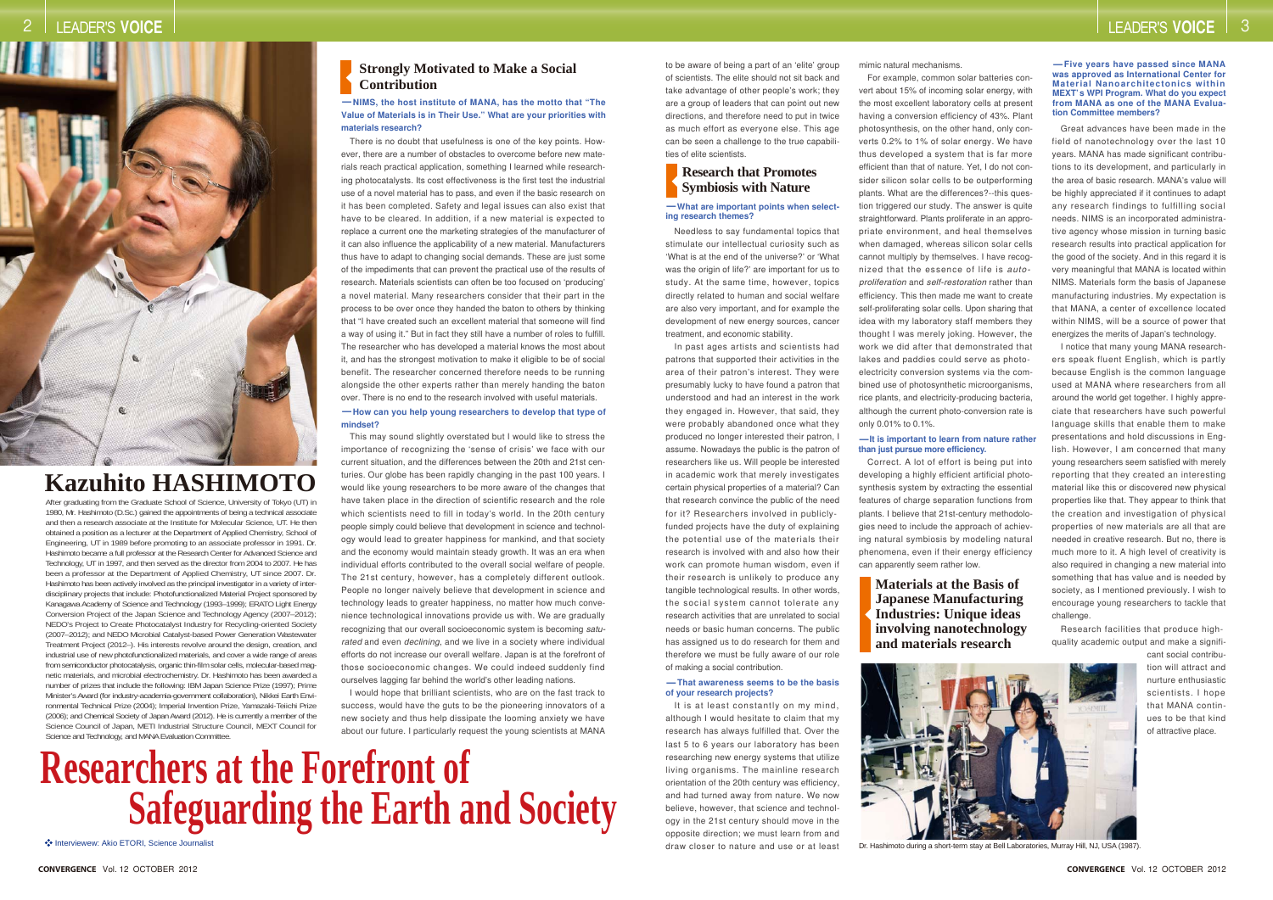## **Strongly Motivated to Make a Social Contribution**

#### **Research that Promotes Symbiosis with Nature**

Interviewew: Akio ETORI, Science Journalist

After graduating from the Graduate School of Science, University of Tokyo (UT) in 1980, Mr. Hashimoto (D.Sc.) gained the appointments of being a technical associate and then a research associate at the Institute for Molecular Science, UT. He then obtained a position as a lecturer at the Department of Applied Chemistry, School of Engineering, UT in 1989 before promoting to an associate professor in 1991. Dr. Hashimoto became a full professor at the Research Center for Advanced Science and Technology, UT in 1997, and then served as the director from 2004 to 2007. He has been a professor at the Department of Applied Chemistry, UT since 2007. Dr. Hashimoto has been actively involved as the principal investigator in a variety of interdisciplinary projects that include: Photofunctionalized Material Project sponsored by Kanagawa Academy of Science and Technology (1993–1999); ERATO Light Energy Conversion Project of the Japan Science and Technology Agency (2007–2012); NEDO's Project to Create Photocatalyst Industry for Recycling-oriented Society (2007–2012); and NEDO Microbial Catalyst-based Power Generation Wastewater Treatment Project (2012–). His interests revolve around the design, creation, and industrial use of new photofunctionalized materials, and cover a wide range of areas from semiconductor photocatalysis, organic thin-film solar cells, molecular-based magnetic materials, and microbial electrochemistry. Dr. Hashimoto has been awarded a number of prizes that include the following: IBM Japan Science Prize (1997); Prime Minister's Award (for industry-academia-government collaboration), Nikkei Earth Environmental Technical Prize (2004); Imperial Invention Prize, Yamazaki-Teiichi Prize (2006); and Chemical Society of Japan Award (2012). He is currently a member of the Science Council of Japan, METI Industrial Structure Council, MEXT Council for Science and Technology, and MANA Evaluation Committee.

#### **-What are important points when selecting research themes?**

#### **-It is important to learn from nature rather than just pursue more efficiency.**

#### **-That awareness seems to be the basis of your research projects?**

**-Five years have passed since MANA was approved as International Center for Material Nanoarchitectonics within MEXT' s WPI Program. What do you expect from MANA as one of the MANA Evaluation Committee members?**

Dr. Hashimoto during a short-term stay at Bell Laboratories, Murray Hill, NJ, USA (1987).

**Materials at the Basis of Japanese Manufacturing Industries: Unique ideas involving nanotechnology and materials research**



It is at least constantly on my mind, although I would hesitate to claim that my research has always fulfilled that. Over the last 5 to 6 years our laboratory has been researching new energy systems that utilize living organisms. The mainline research orientation of the 20th century was efficiency, and had turned away from nature. We now believe, however, that science and technology in the 21st century should move in the opposite direction; we must learn from and draw closer to nature and use or at least

# **Researchers at the Forefront of Safeguarding the Earth and Society**

#### **-NIMS, the host institute of MANA, has the motto that "The Value of Materials is in Their Use." What are your priorities with materials research?**

to be aware of being a part of an 'elite' group of scientists. The elite should not sit back and take advantage of other people's work; they are a group of leaders that can point out new directions, and therefore need to put in twice as much effort as everyone else. This age can be seen a challenge to the true capabilities of elite scientists.

Needless to say fundamental topics that stimulate our intellectual curiosity such as 'What is at the end of the universe?' or 'What was the origin of life?' are important for us to study. At the same time, however, topics directly related to human and social welfare are also very important, and for example the development of new energy sources, cancer treatment, and economic stability.

In past ages artists and scientists had patrons that supported their activities in the area of their patron's interest. They were presumably lucky to have found a patron that understood and had an interest in the work they engaged in. However, that said, they were probably abandoned once what they produced no longer interested their patron, I assume. Nowadays the public is the patron of researchers like us. Will people be interested in academic work that merely investigates certain physical properties of a material? Can that research convince the public of the need for it? Researchers involved in publiclyfunded projects have the duty of explaining the potential use of the materials their research is involved with and also how their work can promote human wisdom, even if their research is unlikely to produce any tangible technological results. In other words, the social system cannot tolerate any research activities that are unrelated to social needs or basic human concerns. The public has assigned us to do research for them and therefore we must be fully aware of our role of making a social contribution.

mimic natural mechanisms.

For example, common solar batteries convert about 15% of incoming solar energy, with the most excellent laboratory cells at present having a conversion efficiency of 43%. Plant photosynthesis, on the other hand, only converts 0.2% to 1% of solar energy. We have thus developed a system that is far more efficient than that of nature. Yet, I do not consider silicon solar cells to be outperforming plants. What are the differences?--this question triggered our study. The answer is quite straightforward. Plants proliferate in an appropriate environment, and heal themselves when damaged, whereas silicon solar cells cannot multiply by themselves. I have recognized that the essence of life is *autoproliferation* and *self-restoration* rather than efficiency. This then made me want to create self-proliferating solar cells. Upon sharing that idea with my laboratory staff members they thought I was merely joking. However, the work we did after that demonstrated that lakes and paddies could serve as photoelectricity conversion systems via the combined use of photosynthetic microorganisms, rice plants, and electricity-producing bacteria, although the current photo-conversion rate is only 0.01% to 0.1%.

**-How can you help young researchers to develop that type of mindset?** There is no doubt that usefulness is one of the key points. However, there are a number of obstacles to overcome before new materials reach practical application, something I learned while researching photocatalysts. Its cost effectiveness is the first test the industrial use of a novel material has to pass, and even if the basic research on it has been completed. Safety and legal issues can also exist that have to be cleared. In addition, if a new material is expected to replace a current one the marketing strategies of the manufacturer of it can also influence the applicability of a new material. Manufacturers thus have to adapt to changing social demands. These are just some of the impediments that can prevent the practical use of the results of research. Materials scientists can often be too focused on 'producing' a novel material. Many researchers consider that their part in the process to be over once they handed the baton to others by thinking that "I have created such an excellent material that someone will find a way of using it." But in fact they still have a number of roles to fulfill. The researcher who has developed a material knows the most about it, and has the strongest motivation to make it eligible to be of social benefit. The researcher concerned therefore needs to be running alongside the other experts rather than merely handing the baton over. There is no end to the research involved with useful materials.

> Correct. A lot of effort is being put into developing a highly efficient artificial photosynthesis system by extracting the essential features of charge separation functions from plants. I believe that 21st-century methodologies need to include the approach of achieving natural symbiosis by modeling natural phenomena, even if their energy efficiency can apparently seem rather low.

Great advances have been made in the field of nanotechnology over the last 10 years. MANA has made significant contributions to its development, and particularly in the area of basic research. MANA's value will be highly appreciated if it continues to adapt any research findings to fulfilling social needs. NIMS is an incorporated administrative agency whose mission in turning basic research results into practical application for the good of the society. And in this regard it is very meaningful that MANA is located within NIMS. Materials form the basis of Japanese manufacturing industries. My expectation is that MANA, a center of excellence located within NIMS, will be a source of power that energizes the merits of Japan's technology.

I notice that many young MANA researchers speak fluent English, which is partly because English is the common language used at MANA where researchers from all around the world get together. I highly appreciate that researchers have such powerful language skills that enable them to make presentations and hold discussions in English. However, I am concerned that many young researchers seem satisfied with merely reporting that they created an interesting material like this or discovered new physical properties like that. They appear to think that the creation and investigation of physical properties of new materials are all that are needed in creative research. But no, there is much more to it. A high level of creativity is also required in changing a new material into something that has value and is needed by society, as I mentioned previously. I wish to encourage young researchers to tackle that challenge.

Research facilities that produce highquality academic output and make a signifi-

> cant social contribution will attract and nurture enthusiastic scientists. I hope that MANA continues to be that kind of attractive place.

This may sound slightly overstated but I would like to stress the importance of recognizing the 'sense of crisis' we face with our current situation, and the differences between the 20th and 21st centuries. Our globe has been rapidly changing in the past 100 years. I would like young researchers to be more aware of the changes that have taken place in the direction of scientific research and the role which scientists need to fill in today's world. In the 20th century people simply could believe that development in science and technology would lead to greater happiness for mankind, and that society and the economy would maintain steady growth. It was an era when individual efforts contributed to the overall social welfare of people. The 21st century, however, has a completely different outlook. People no longer naively believe that development in science and technology leads to greater happiness, no matter how much convenience technological innovations provide us with. We are gradually recognizing that our overall socioeconomic system is becoming *saturated* and even *declining*, and we live in a society where individual efforts do not increase our overall welfare. Japan is at the forefront of those socioeconomic changes. We could indeed suddenly find ourselves lagging far behind the world's other leading nations.

I would hope that brilliant scientists, who are on the fast track to success, would have the guts to be the pioneering innovators of a new society and thus help dissipate the looming anxiety we have about our future. I particularly request the young scientists at MANA

# **Kazuhito HASHIMOTO**

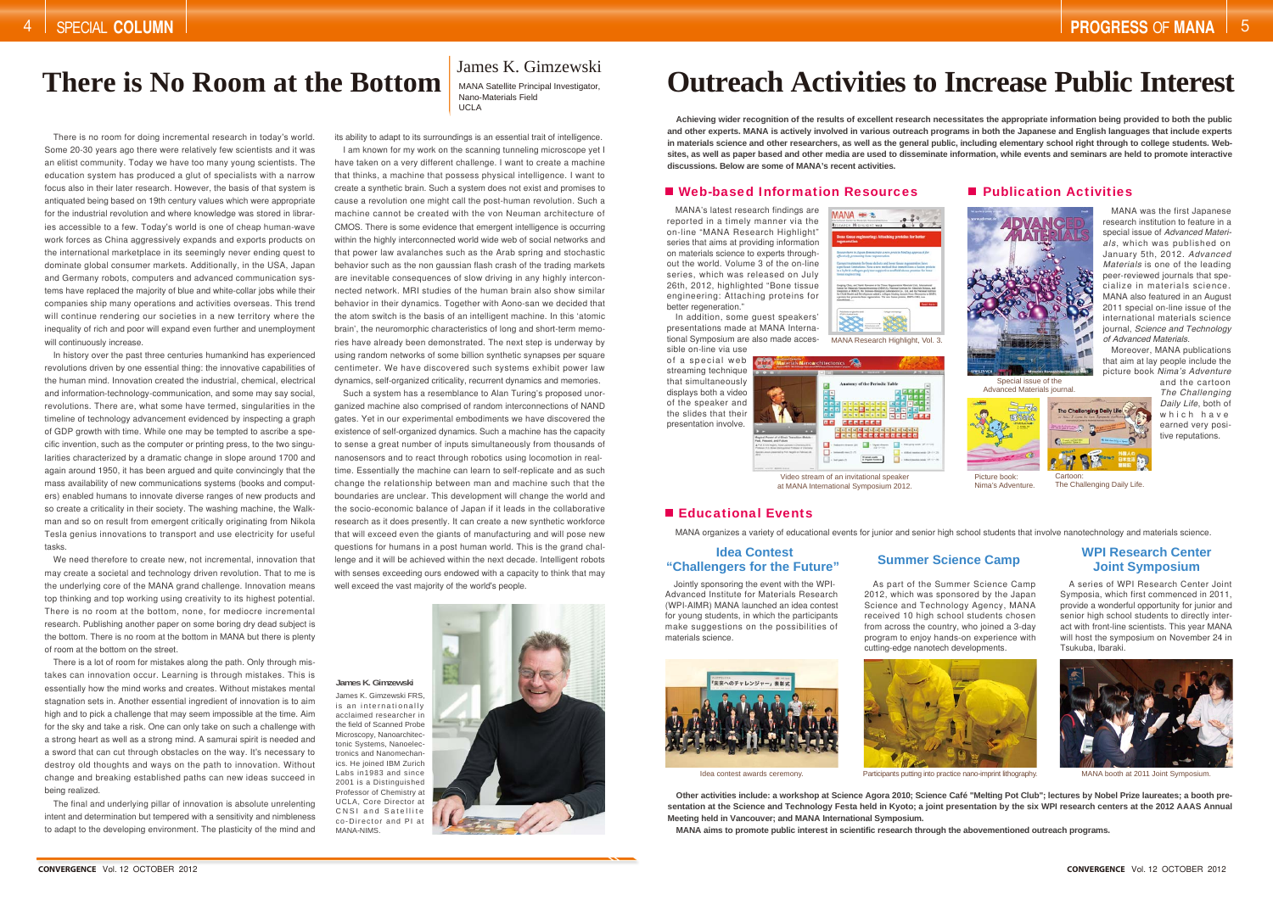# **Outreach Activities to Increase Public Interest**

**Achieving wider recognition of the results of excellent research necessitates the appropriate information being provided to both the public and other experts. MANA is actively involved in various outreach programs in both the Japanese and English languages that include experts in materials science and other researchers, as well as the general public, including elementary school right through to college students. Websites, as well as paper based and other media are used to disseminate information, while events and seminars are held to promote interactive discussions. Below are some of MANA's recent activities.**

#### ■ Web-based Information Resources → Publication Activities

MANA's latest research findings are reported in a timely manner via the on-line "MANA Research Highlight" series that aims at providing information on materials science to experts throughout the world. Volume 3 of the on-line series, which was released on July 26th, 2012, highlighted "Bone tissue engineering: Attaching proteins for better regeneration.

MANA organizes a variety of educational events for junior and senior high school students that involve nanotechnology and materials science.

Advanced Materials journal



Picture book:Nima's Adventure.

In addition, some guest speakers' presentations made at MANA International Symposium are also made acces-

sible on-line via use

streaming technique that simultaneously



Video stream of an invitational speaker at MANA International Symposium 2012.

#### Educational Events

of the speaker and the slides that their presentation involve.



MANA Research Highlight, Vol. 3.



Cartoon:The Challenging Daily Life.

MANA was the first Japanese research institution to feature in a special issue of *Advanced Materials*, which was published on January 5th, 2012. *Advanced Materials* is one of the leading peer-reviewed journals that specialize in materials science. MANA also featured in an August 2011 special on-line issue of the international materials science journal, *Science and Technology of Advanced Materials*.

Moreover, MANA publications that aim at lay people include the picture book *Nima's Adventure*

and the cartoon *The Challenging Daily Life*, both of which have earned very positive reputations.



A series of WPI Research Center Joint Symposia, which first commenced in 2011, provide a wonderful opportunity for junior and senior high school students to directly interact with front-line scientists. This year MANA will host the symposium on November 24 in Tsukuba, Ibaraki.



Idea contest awards ceremony. **Participants putting into practice nano-imprint lithography.** MANA booth at 2011 Joint Symposium.

Jointly sponsoring the event with the WPI-Advanced Institute for Materials Research (WPI-AIMR) MANA launched an idea contest for young students, in which the participants make suggestions on the possibilities of materials science.



As part of the Summer Science Camp 2012, which was sponsored by the Japan Science and Technology Agency, MANA

received 10 high school students chosen from across the country, who joined a 3-day program to enjoy hands-on experience with cutting-edge nanotech developments.



#### **Idea Contest"Challengers for the Future" Summer Science Camp WPI Research Center Joint Symposium**

**Other activities include: a workshop at Science Agora 2010; Science Café "Melting Pot Club"; lectures by Nobel Prize laureates; a booth presentation at the Science and Technology Festa held in Kyoto; a joint presentation by the six WPI research centers at the 2012 AAAS Annual Meeting held in Vancouver; and MANA International Symposium.**

**MANA aims to promote public interest in scientific research through the abovementioned outreach programs.**

James K. Gimzewski FRS, is an internationally acclaimed researcher in the field of Scanned Probe Microscopy, Nanoarchitectonic Systems, Nanoelectronics and Nanomechanics. He joined IBM Zurich Labs in1983 and since 2001 is a Distinguished Professor of Chemistry at UCLA, Core Director at CNSI and Satellite co-Director and PI at MANA-NIMS.



#### **James K. Gimzewski**

# **There is No Room at the Bottom**

Nano-Materials FieldUCLA

There is no room for doing incremental research in today's world. Some 20-30 years ago there were relatively few scientists and it was an elitist community. Today we have too many young scientists. The education system has produced a glut of specialists with a narrow focus also in their later research. However, the basis of that system is antiquated being based on 19th century values which were appropriate for the industrial revolution and where knowledge was stored in libraries accessible to a few. Today's world is one of cheap human-wave work forces as China aggressively expands and exports products on the international marketplace in its seemingly never ending quest to dominate global consumer markets. Additionally, in the USA, Japan and Germany robots, computers and advanced communication systems have replaced the majority of blue and white-collar jobs while their companies ship many operations and activities overseas. This trend will continue rendering our societies in a new territory where the inequality of rich and poor will expand even further and unemployment will continuously increase.

In history over the past three centuries humankind has experienced revolutions driven by one essential thing: the innovative capabilities of the human mind. Innovation created the industrial, chemical, electrical and information-technology-communication, and some may say social, revolutions. There are, what some have termed, singularities in the timeline of technology advancement evidenced by inspecting a graph of GDP growth with time. While one may be tempted to ascribe a specific invention, such as the computer or printing press, to the two singularities characterized by a dramatic change in slope around 1700 and again around 1950, it has been argued and quite convincingly that the mass availability of new communications systems (books and computers) enabled humans to innovate diverse ranges of new products and so create a criticality in their society. The washing machine, the Walkman and so on result from emergent critically originating from Nikola Tesla genius innovations to transport and use electricity for useful tasks.

We need therefore to create new, not incremental, innovation that may create a societal and technology driven revolution. That to me is the underlying core of the MANA grand challenge. Innovation means top thinking and top working using creativity to its highest potential. There is no room at the bottom, none, for mediocre incremental research. Publishing another paper on some boring dry dead subject is the bottom. There is no room at the bottom in MANA but there is plenty of room at the bottom on the street.

There is a lot of room for mistakes along the path. Only through mistakes can innovation occur. Learning is through mistakes. This is essentially how the mind works and creates. Without mistakes mental stagnation sets in. Another essential ingredient of innovation is to aim high and to pick a challenge that may seem impossible at the time. Aim for the sky and take a risk. One can only take on such a challenge with a strong heart as well as a strong mind. A samurai spirit is needed and a sword that can cut through obstacles on the way. It's necessary to destroy old thoughts and ways on the path to innovation. Without change and breaking established paths can new ideas succeed in being realized.

The final and underlying pillar of innovation is absolute unrelenting intent and determination but tempered with a sensitivity and nimbleness to adapt to the developing environment. The plasticity of the mind and

# James K. Gimzewski<br>MANA Satellite Principal Investigator,

its ability to adapt to its surroundings is an essential trait of intelligence. I am known for my work on the scanning tunneling microscope yet I have taken on a very different challenge. I want to create a machine that thinks, a machine that possess physical intelligence. I want to create a synthetic brain. Such a system does not exist and promises to cause a revolution one might call the post-human revolution. Such a machine cannot be created with the von Neuman architecture of CMOS. There is some evidence that emergent intelligence is occurring within the highly interconnected world wide web of social networks and that power law avalanches such as the Arab spring and stochastic behavior such as the non gaussian flash crash of the trading markets are inevitable consequences of slow driving in any highly interconnected network. MRI studies of the human brain also show similar behavior in their dynamics. Together with Aono-san we decided that the atom switch is the basis of an intelligent machine. In this 'atomic brain', the neuromorphic characteristics of long and short-term memories have already been demonstrated. The next step is underway by using random networks of some billion synthetic synapses per square centimeter. We have discovered such systems exhibit power law dynamics, self-organized criticality, recurrent dynamics and memories.

Such a system has a resemblance to Alan Turing's proposed unorganized machine also comprised of random interconnections of NAND gates. Yet in our experimental embodiments we have discovered the existence of self-organized dynamics. Such a machine has the capacity to sense a great number of inputs simultaneously from thousands of nanosensors and to react through robotics using locomotion in realtime. Essentially the machine can learn to self-replicate and as such change the relationship between man and machine such that the boundaries are unclear. This development will change the world and the socio-economic balance of Japan if it leads in the collaborative research as it does presently. It can create a new synthetic workforce that will exceed even the giants of manufacturing and will pose new questions for humans in a post human world. This is the grand challenge and it will be achieved within the next decade. Intelligent robots with senses exceeding ours endowed with a capacity to think that may well exceed the vast majority of the world's people.